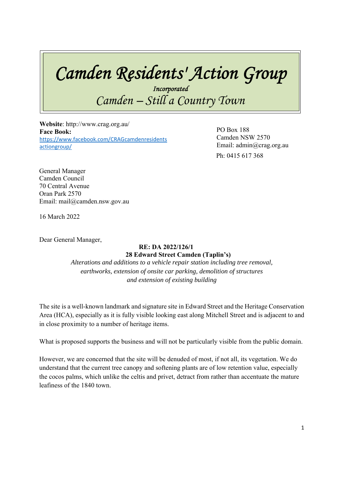## *Camden Residents' Action Group*

*Incorporated Camden – Still a Country Town* 

 **Website**: http://www.crag.org.au/ **Face Book:**  https://www.facebook.com/CRAGcamdenresidents actiongroup/

 Ph: 0415 617 368 PO Box 188 Camden NSW 2570 Email: admin@crag.org.au

General Manager Camden Council 70 Central Avenue Oran Park 2570 Email: mail@camden.nsw.gov.au

16 March 2022

Dear General Manager,

## **RE: DA 2022/126/1 28 Edward Street Camden (Taplin's)**

*Alterations and additions to a vehicle repair station including tree removal, earthworks, extension of onsite car parking, demolition of structures and extension of existing building* 

The site is a well-known landmark and signature site in Edward Street and the Heritage Conservation Area (HCA), especially as it is fully visible looking east along Mitchell Street and is adjacent to and in close proximity to a number of heritage items.

What is proposed supports the business and will not be particularly visible from the public domain.

However, we are concerned that the site will be denuded of most, if not all, its vegetation. We do understand that the current tree canopy and softening plants are of low retention value, especially the cocos palms, which unlike the celtis and privet, detract from rather than accentuate the mature leafiness of the 1840 town.